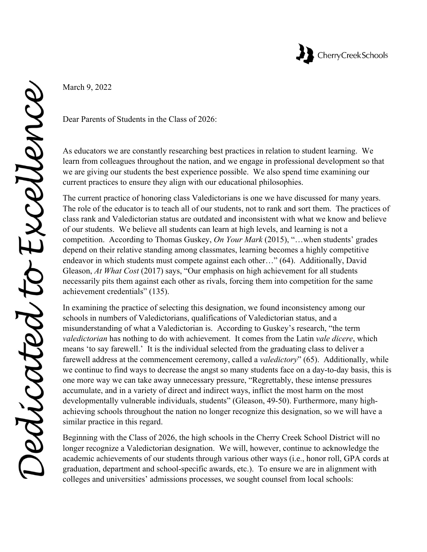

March 9, 2022

Dear Parents of Students in the Class of 2026:

As educators we are constantly researching best practices in relation to student learning. We learn from colleagues throughout the nation, and we engage in professional development so that we are giving our students the best experience possible. We also spend time examining our current practices to ensure they align with our educational philosophies.

The current practice of honoring class Valedictorians is one we have discussed for many years. The role of the educator is to teach all of our students, not to rank and sort them. The practices of class rank and Valedictorian status are outdated and inconsistent with what we know and believe of our students. We believe all students can learn at high levels, and learning is not a competition. According to Thomas Guskey, *On Your Mark* (2015), "…when students' grades depend on their relative standing among classmates, learning becomes a highly competitive endeavor in which students must compete against each other…" (64). Additionally, David Gleason, *At What Cost* (2017) says, "Our emphasis on high achievement for all students necessarily pits them against each other as rivals, forcing them into competition for the same achievement credentials" (135).

In examining the practice of selecting this designation, we found inconsistency among our schools in numbers of Valedictorians, qualifications of Valedictorian status, and a misunderstanding of what a Valedictorian is. According to Guskey's research, "the term *valedictorian* has nothing to do with achievement. It comes from the Latin *vale dicere*, which means 'to say farewell.' It is the individual selected from the graduating class to deliver a farewell address at the commencement ceremony, called a *valedictory*" (65). Additionally, while we continue to find ways to decrease the angst so many students face on a day-to-day basis, this is one more way we can take away unnecessary pressure, "Regrettably, these intense pressures accumulate, and in a variety of direct and indirect ways, inflict the most harm on the most developmentally vulnerable individuals, students" (Gleason, 49-50). Furthermore, many highachieving schools throughout the nation no longer recognize this designation, so we will have a similar practice in this regard.

Beginning with the Class of 2026, the high schools in the Cherry Creek School District will no longer recognize a Valedictorian designation. We will, however, continue to acknowledge the academic achievements of our students through various other ways (i.e., honor roll, GPA cords at graduation, department and school-specific awards, etc.). To ensure we are in alignment with colleges and universities' admissions processes, we sought counsel from local schools: